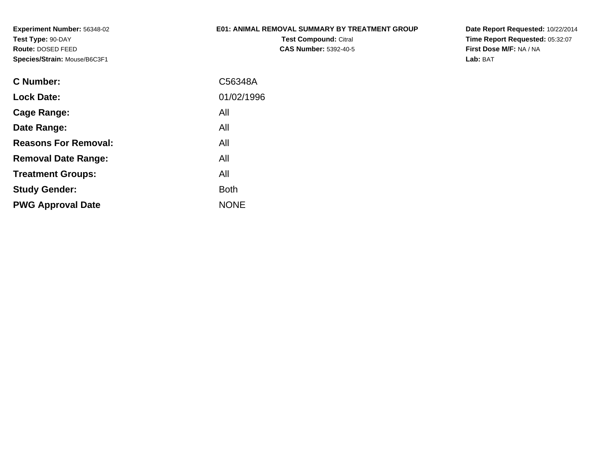#### **E01: ANIMAL REMOVAL SUMMARY BY TREATMENT GROUP**

**Test Compound:** Citral **CAS Number:** 5392-40-5 **Date Report Requested:** 10/22/2014 **Time Report Requested:** 05:32:07**First Dose M/F:** NA / NA**Lab:** BAT

| C Number:                   | C56348A     |
|-----------------------------|-------------|
| <b>Lock Date:</b>           | 01/02/1996  |
| Cage Range:                 | All         |
| Date Range:                 | All         |
| <b>Reasons For Removal:</b> | All         |
| <b>Removal Date Range:</b>  | All         |
| <b>Treatment Groups:</b>    | All         |
| <b>Study Gender:</b>        | <b>Both</b> |
| <b>PWG Approval Date</b>    | <b>NONE</b> |
|                             |             |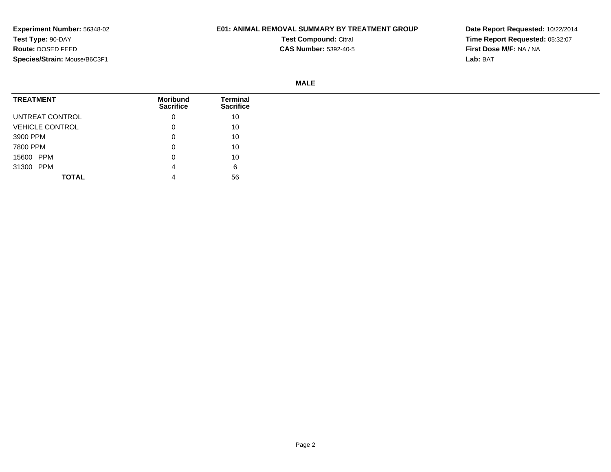## **E01: ANIMAL REMOVAL SUMMARY BY TREATMENT GROUP**

**Test Compound:** Citral

**CAS Number:** 5392-40-5

**Date Report Requested:** 10/22/2014**Time Report Requested:** 05:32:07**First Dose M/F:** NA / NA**Lab:** BAT

#### **MALE**

| <b>TREATMENT</b>       | Moribund<br><b>Sacrifice</b> | Terminal<br><b>Sacrifice</b> |
|------------------------|------------------------------|------------------------------|
| UNTREAT CONTROL        | 0                            | 10                           |
| <b>VEHICLE CONTROL</b> | 0                            | 10                           |
| 3900 PPM               | 0                            | 10                           |
| 7800 PPM               | 0                            | 10                           |
| 15600 PPM              | 0                            | 10                           |
| 31300 PPM              | 4                            | 6                            |
| <b>TOTAL</b>           |                              | 56                           |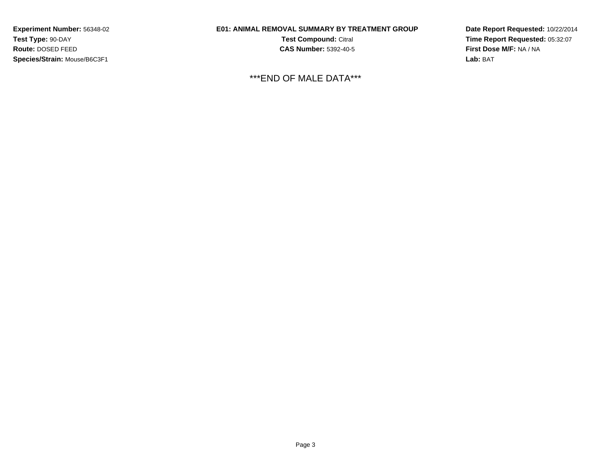## **E01: ANIMAL REMOVAL SUMMARY BY TREATMENT GROUP**

**Test Compound:** Citral **CAS Number:** 5392-40-5

\*\*\*END OF MALE DATA\*\*\*

**Date Report Requested:** 10/22/2014**Time Report Requested:** 05:32:07**First Dose M/F:** NA / NA**Lab:** BAT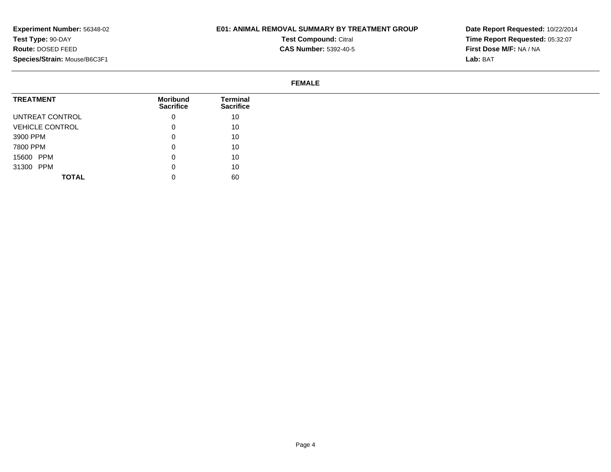## **E01: ANIMAL REMOVAL SUMMARY BY TREATMENT GROUP**

**Test Compound:** Citral

**CAS Number:** 5392-40-5

**Date Report Requested:** 10/22/2014 **Time Report Requested:** 05:32:07**First Dose M/F:** NA / NA**Lab:** BAT

#### **FEMALE**

| <b>TREATMENT</b>       | <b>Moribund</b><br><b>Sacrifice</b> | Terminal<br><b>Sacrifice</b> |
|------------------------|-------------------------------------|------------------------------|
| UNTREAT CONTROL        | 0                                   | 10                           |
| <b>VEHICLE CONTROL</b> | 0                                   | 10                           |
| 3900 PPM               | 0                                   | 10                           |
| 7800 PPM               | 0                                   | 10                           |
| 15600 PPM              | 0                                   | 10                           |
| 31300 PPM              | 0                                   | 10                           |
| <b>TOTAL</b>           | U                                   | 60                           |